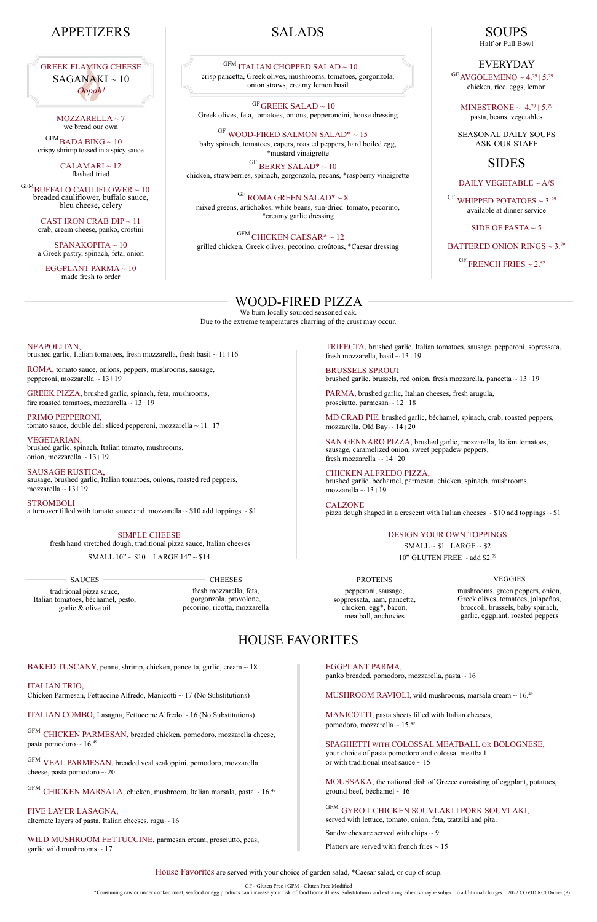#### House Favorites are served with your choice of garden salad, \*Caesar salad, or cup of soup.

GF - Gluten Free | GFM - Gluten Free Modified

# HOUSE FAVORITES

SAUCES

**CHEESES** 

 $\mathrm{^{GF}GREEK}$  SALAD  $\sim 10$ Greek olives, feta, tomatoes, onions, pepperoncini, house dressing

traditional pizza sauce, Italian tomatoes, béchamel, pesto, garlic & olive oil

SIMPLE CHEESE

 $\mathrm{^{GF}}$  WOOD-FIRED SALMON SALAD\*  $\sim 15$ baby spinach, tomatoes, capers, roasted peppers, hard boiled egg, \*mustard vinaigrette

fresh hand stretched dough, traditional pizza sauce, Italian cheeses

 $\mathrm{G}\mathrm{F}$  BERRY SALAD\*  $\sim 10$ chicken, strawberries, spinach, gorgonzola, pecans, \*raspberry vinaigrette

SMALL 10" ~ \$10 LARGE 14" ~ \$14

 $\mathrm{^{GF}}$  ROMA GREEN SALAD\*  $\sim 8$ mixed greens, artichokes, white beans, sun-dried tomato, pecorino, \*creamy garlic dressing

# SALADS

### $^{\mathrm{GFM}}$  ITALIAN CHOPPED SALAD  $\sim10$

 $\mathrm{GHICKEN~CAESAR*}\sim12$ grilled chicken, Greek olives, pecorino, croûtons, \*Caesar dressing

crisp pancetta, Greek olives, mushrooms, tomatoes, gorgonzola, onion straws, creamy lemon basil

 $MOZZARELLA \sim 7$ we bread our own

 $\mathrm{GFM}_{\mathbf{\textcolor{blue}{BADA}}}$ BADA BING  $\sim 10$ crispy shrimp tossed in a spicy sauce

> $CALAMARI \sim 12$ flashed fried

> > \*Consuming raw or under cooked meat, seafood or egg products can increase your risk of food borne illness. Substitutions and extra ingredients maybe subject to additional charges. 2022 COVID RCI Dinner (9)

 $\mathrm{^{GFM}BUFFALO}$  CAULIFLOWER  $\sim10$ breaded cauliflower, buffalo sauce, bleu cheese, celery

> CAST IRON CRAB DIP  $\sim$  11 crab, cream cheese, panko, crostini

 $\mathrm{^{GF}AVGOLEMENO} \sim 4.^{79}$  | 5.<sup>79</sup> chicken, rice, eggs, lemon

MINESTRONE  $\sim 4.^{79}$  | 5.<sup>79</sup> pasta, beans, vegetables

 $\mathrm{G}$ F WHIPPED POTATOES ~ 3.79 available at dinner service

SIDE OF PASTA  $\sim$  5

BATTERED ONION RINGS  $\sim 3.79$ 

 $\mathrm{^{GF}$  FRENCH FRIES  $\sim 2.49$ 

ROMA, tomato sauce, onions, peppers, mushrooms, sausage, pepperoni, mozzarella  $\sim$  13 | 19

GREEK PIZZA, brushed garlic, spinach, feta, mushrooms, fire roasted tomatoes, mozzarella  $\sim$  13 | 19

PRIMO PEPPERONI, tomato sauce, double deli sliced pepperoni, mozzarella  $\sim$  11 | 17

# WOOD-FIRED PIZZA

VEGETARIAN, brushed garlic, spinach, Italian tomato, mushrooms, onion, mozzarella  $\sim$  13 | 19

We burn locally sourced seasoned oak.

SAUSAGE RUSTICA, sausage, brushed garlic, Italian tomatoes, onions, roasted red peppers, mozzarella  $\sim$  13 | 19

Due to the extreme temperatures charring of the crust may occur.

NEAPOLITAN,<br>brushed garlic, Italian tomatoes, fresh mozzarella, fresh basil ~ 11 | 16

STROMBOLI a turnover filled with tomato sauce and mozzarella  $\sim$  \$10 add toppings  $\sim$  \$1

# APPETIZERS

TRIFECTA, brushed garlic, Italian tomatoes, sausage, pepperoni, sopressata, fresh mozzarella, basil  $\sim$  13 | 19

BRUSSELS SPROUT brushed garlic, brussels, red onion, fresh mozzarella, pancetta  $\sim 13 \mid 19$ 

PARMA, brushed garlic, Italian cheeses, fresh arugula, prosciutto, parmesan  $\sim 12 \mid 18$ 

SAN GENNARO PIZZA, brushed garlic, mozzarella, Italian tomatoes, sausage, caramelized onion, sweet peppadew peppers, fresh mozzarella  $\sim 14/20$ 

CHICKEN ALFREDO PIZZA, brushed garlic, béchamel, parmesan, chicken, spinach, mushrooms, mozzarella  $\sim$  13 | 19

SPANAKOPITA ~ 10 a Greek pastry, spinach, feta, onion

> CALZONE pizza dough shaped in a crescent with Italian cheeses  $\sim $10$  add toppings  $\sim $1$

EGGPLANT PARMA ~ 10 made fresh to order

SOUPS Half or Full Bowl

### EVERYDAY

SEASONAL DAILY SOUPS ASK OUR STAFF

# SIDES

### DAILY VEGETABLE ~ A/S

GFM CHICKEN PARMESAN, breaded chicken, pomodoro, mozzarella cheese, pasta pomodoro ~  $16.^{49}$ 

FIVE LAYER LASAGNA, alternate layers of pasta, Italian cheeses, ragu  $\sim 16$ 

WILD MUSHROOM FETTUCCINE, parmesan cream, prosciutto, peas, garlic wild mushrooms  $\sim 17$ 

EGGPLANT PARMA, panko breaded, pomodoro, mozzarella, pasta $\sim 16$ 

#### SPAGHETTI WITH COLOSSAL MEATBALL OR BOLOGNESE, your choice of pasta pomodoro and colossal meatball or with traditional meat sauce  $\sim 15$

MOUSSAKA, the national dish of Greece consisting of eggplant, potatoes, ground beef, béchamel  $\sim 16$ 

 $\mathbf{GFM}$  GYRO  $\vdash$  CHICKEN SOUVLAKI  $\vdash$  PORK SOUVLAKI, served with lettuce, tomato, onion, feta, tzatziki and pita. Sandwiches are served with chips  $\sim$  9 Platters are served with french fries  $\sim$  15

MD CRAB PIE, brushed garlic, béchamel, spinach, crab, roasted peppers, mozzarella, Old Bay ~ 14 | 20

GREEK FLAMING CHEESE  $SAGANAKI \sim 10$ *Oopah!*

#### PROTEINS

pepperoni, sausage, soppressata, ham, pancetta, chicken, egg\*, bacon, meatball, anchovies

VEGGIES

mushrooms, green peppers, onion, Greek olives, tomatoes, jalapeños, broccoli, brussels, baby spinach, garlic, eggplant, roasted peppers

fresh mozzarella, feta, gorgonzola, provolone, pecorino, ricotta, mozzarella

### DESIGN YOUR OWN TOPPINGS

 $SMALL \sim $1$  LARGE ~ \$2 10" GLUTEN FREE  $\sim$  add \$2.79

BAKED TUSCANY, penne, shrimp, chicken, pancetta, garlic, cream ~ 18

#### ITALIAN TRIO,

Chicken Parmesan, Fettuccine Alfredo, Manicotti  $\sim$  17 (No Substitutions)

ITALIAN COMBO, Lasagna, Fettuccine Alfredo ~ 16 (No Substitutions)

GFM VEAL PARMESAN, breaded veal scaloppini, pomodoro, mozzarella cheese, pasta pomodoro ~ 20

GFM CHICKEN MARSALA, chicken, mushroom, Italian marsala, pasta ~ 16.49

MUSHROOM RAVIOLI, wild mushrooms, marsala cream ~ 16.49

MANICOTTI, pasta sheets filled with Italian cheeses, pomodoro, mozzarella ~ 15.49